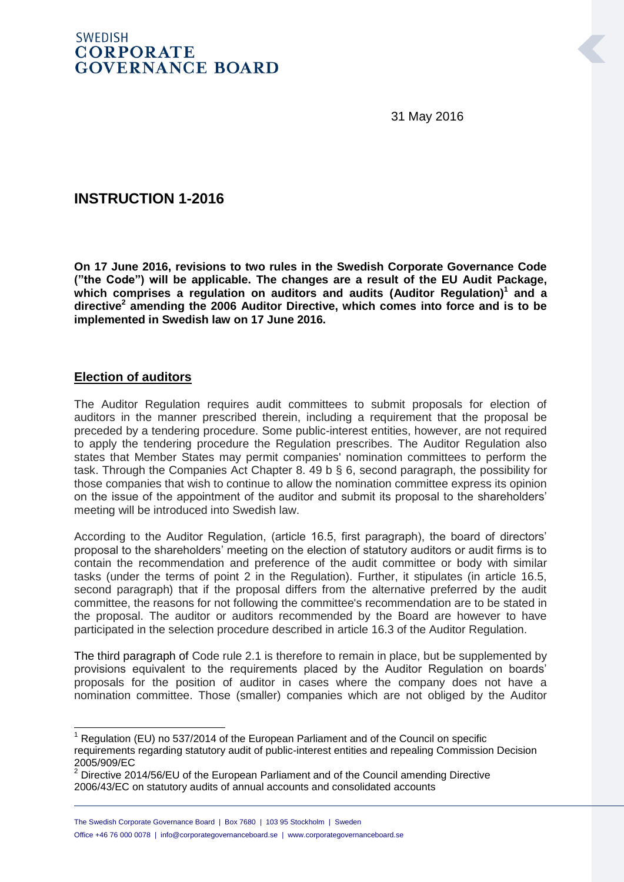## **SWEDISH CORPORATE GOVERNANCE BOARD**

31 May 2016

# **INSTRUCTION 1-2016**

**On 17 June 2016, revisions to two rules in the Swedish Corporate Governance Code ("the Code") will be applicable. The changes are a result of the EU Audit Package,**  which comprises a regulation on auditors and audits (Auditor Regulation)<sup>1</sup> and a **directive<sup>2</sup> amending the 2006 Auditor Directive, which comes into force and is to be implemented in Swedish law on 17 June 2016.**

### **Election of auditors**

-

The Auditor Regulation requires audit committees to submit proposals for election of auditors in the manner prescribed therein, including a requirement that the proposal be preceded by a tendering procedure. Some public-interest entities, however, are not required to apply the tendering procedure the Regulation prescribes. The Auditor Regulation also states that Member States may permit companies' nomination committees to perform the task. Through the Companies Act Chapter 8. 49 b § 6, second paragraph, the possibility for those companies that wish to continue to allow the nomination committee express its opinion on the issue of the appointment of the auditor and submit its proposal to the shareholders' meeting will be introduced into Swedish law.

According to the Auditor Regulation, (article 16.5, first paragraph), the board of directors' proposal to the shareholders' meeting on the election of statutory auditors or audit firms is to contain the recommendation and preference of the audit committee or body with similar tasks (under the terms of point 2 in the Regulation). Further, it stipulates (in article 16.5, second paragraph) that if the proposal differs from the alternative preferred by the audit committee, the reasons for not following the committee's recommendation are to be stated in the proposal. The auditor or auditors recommended by the Board are however to have participated in the selection procedure described in article 16.3 of the Auditor Regulation.

The third paragraph of Code rule 2.1 is therefore to remain in place, but be supplemented by provisions equivalent to the requirements placed by the Auditor Regulation on boards' proposals for the position of auditor in cases where the company does not have a nomination committee. Those (smaller) companies which are not obliged by the Auditor

 $1$  Regulation (EU) no 537/2014 of the European Parliament and of the Council on specific requirements regarding statutory audit of public-interest entities and repealing Commission Decision 2005/909/EC

 $2$  Directive 2014/56/EU of the European Parliament and of the Council amending Directive 2006/43/EC on statutory audits of annual accounts and consolidated accounts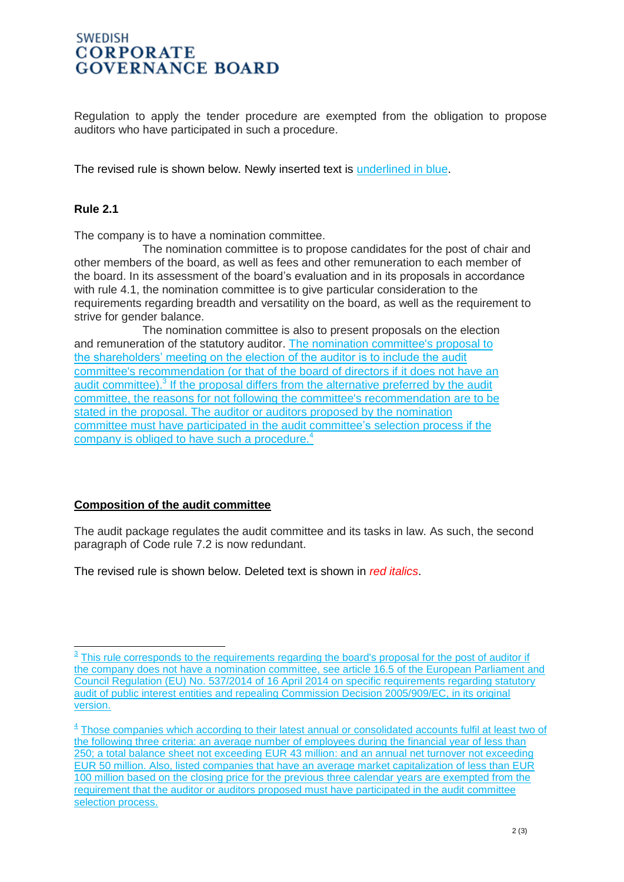## **SWEDISH CORPORATE GOVERNANCE BOARD**

Regulation to apply the tender procedure are exempted from the obligation to propose auditors who have participated in such a procedure.

The revised rule is shown below. Newly inserted text is underlined in blue.

#### **Rule 2.1**

-

The company is to have a nomination committee.

The nomination committee is to propose candidates for the post of chair and other members of the board, as well as fees and other remuneration to each member of the board. In its assessment of the board's evaluation and in its proposals in accordance with rule 4.1, the nomination committee is to give particular consideration to the requirements regarding breadth and versatility on the board, as well as the requirement to strive for gender balance.

The nomination committee is also to present proposals on the election and remuneration of the statutory auditor. The nomination committee's proposal to the shareholders' meeting on the election of the auditor is to include the audit committee's recommendation (or that of the board of directors if it does not have an audit committee).<sup>3</sup> If the proposal differs from the alternative preferred by the audit committee, the reasons for not following the committee's recommendation are to be stated in the proposal. The auditor or auditors proposed by the nomination committee must have participated in the audit committee's selection process if the company is obliged to have such a procedure.<sup>4</sup>

#### **Composition of the audit committee**

The audit package regulates the audit committee and its tasks in law. As such, the second paragraph of Code rule 7.2 is now redundant.

The revised rule is shown below. Deleted text is shown in *red italics*.

 $3$  This rule corresponds to the requirements regarding the board's proposal for the post of auditor if the company does not have a nomination committee, see article 16.5 of the European Parliament and Council Regulation (EU) No. 537/2014 of 16 April 2014 on specific requirements regarding statutory audit of public interest entities and repealing Commission Decision 2005/909/EC, in its original version.

<sup>&</sup>lt;sup>4</sup> Those companies which according to their latest annual or consolidated accounts fulfil at least two of the following three criteria: an average number of employees during the financial year of less than 250; a total balance sheet not exceeding EUR 43 million: and an annual net turnover not exceeding EUR 50 million. Also, listed companies that have an average market capitalization of less than EUR 100 million based on the closing price for the previous three calendar years are exempted from the requirement that the auditor or auditors proposed must have participated in the audit committee selection process.